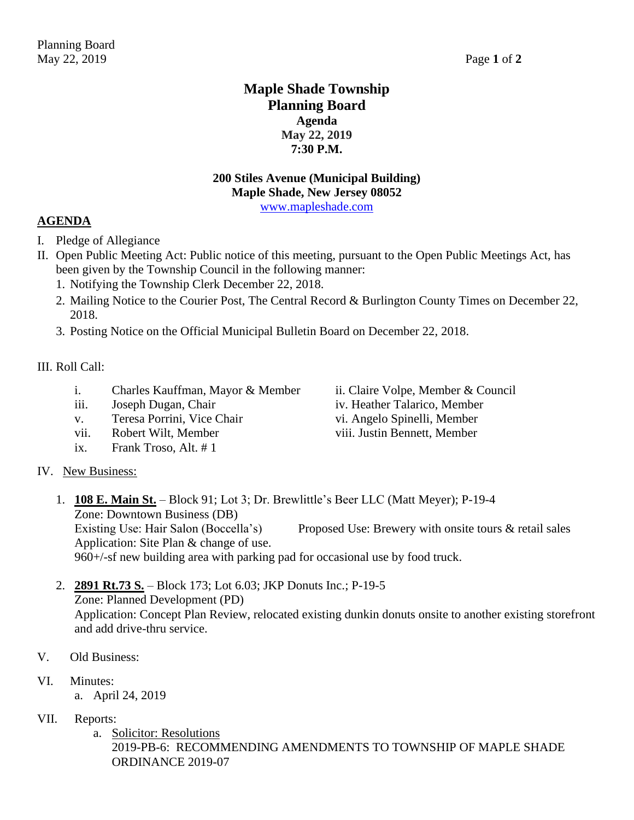## **Maple Shade Township Planning Board Agenda May 22, 2019 7:30 P.M.**

### **200 Stiles Avenue (Municipal Building) Maple Shade, New Jersey 08052**

[www.mapleshade.com](http://www.mapleshade.com/)

#### **AGENDA**

- I. Pledge of Allegiance
- II. Open Public Meeting Act: Public notice of this meeting, pursuant to the Open Public Meetings Act, has been given by the Township Council in the following manner:
	- 1. Notifying the Township Clerk December 22, 2018.
	- 2. Mailing Notice to the Courier Post, The Central Record & Burlington County Times on December 22, 2018.
	- 3. Posting Notice on the Official Municipal Bulletin Board on December 22, 2018.

#### III. Roll Call:

- i. Charles Kauffman, Mayor & Member ii. Claire Volpe, Member & Council
- iii. Joseph Dugan, Chair iv. Heather Talarico, Member
- v. Teresa Porrini, Vice Chair vi. Angelo Spinelli, Member
- vii. Robert Wilt, Member viii. Justin Bennett, Member
- ix. Frank Troso, Alt. # 1
- IV. New Business:
	- 1. **108 E. Main St.** Block 91; Lot 3; Dr. Brewlittle's Beer LLC (Matt Meyer); P-19-4 Zone: Downtown Business (DB)

Existing Use: Hair Salon (Boccella's) Proposed Use: Brewery with onsite tours & retail sales Application: Site Plan & change of use.

960+/-sf new building area with parking pad for occasional use by food truck.

2. **2891 Rt.73 S.** – Block 173; Lot 6.03; JKP Donuts Inc.; P-19-5 Zone: Planned Development (PD)

Application: Concept Plan Review, relocated existing dunkin donuts onsite to another existing storefront and add drive-thru service.

- V. Old Business:
- VI. Minutes:
	- a. April 24, 2019
- VII. Reports:
	- a. Solicitor: Resolutions 2019-PB-6: RECOMMENDING AMENDMENTS TO TOWNSHIP OF MAPLE SHADE ORDINANCE 2019-07
- 
- 
-